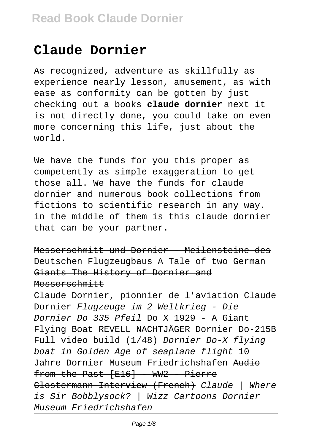# **Claude Dornier**

As recognized, adventure as skillfully as experience nearly lesson, amusement, as with ease as conformity can be gotten by just checking out a books **claude dornier** next it is not directly done, you could take on even more concerning this life, just about the world.

We have the funds for you this proper as competently as simple exaggeration to get those all. We have the funds for claude dornier and numerous book collections from fictions to scientific research in any way. in the middle of them is this claude dornier that can be your partner.

Messerschmitt und Dornier - Meilensteine des Deutschen Flugzeugbaus A Tale of two German Giants The History of Dornier and Messerschmitt

Claude Dornier, pionnier de l'aviation Claude Dornier Flugzeuge im 2 Weltkrieg - Die Dornier Do 335 Pfeil Do X 1929 - A Giant Flying Boat REVELL NACHTJÄGER Dornier Do-215B Full video build (1/48) Dornier Do-X flying boat in Golden Age of seaplane flight 10 Jahre Dornier Museum Friedrichshafen Audio from the Past  $[F16] - WW2 - Pierre$ Clostermann Interview (French) Claude | Where is Sir Bobblysock? | Wizz Cartoons Dornier Museum Friedrichshafen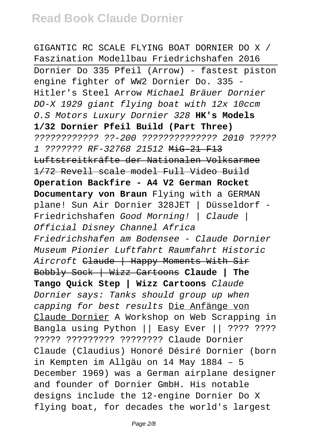GIGANTIC RC SCALE FLYING BOAT DORNIER DO X / Faszination Modellbau Friedrichshafen 2016 Dornier Do 335 Pfeil (Arrow) - fastest piston engine fighter of WW2 Dornier Do. 335 - Hitler's Steel Arrow Michael Bräuer Dornier DO-X 1929 giant flying boat with 12x 10ccm O.S Motors Luxury Dornier 328 **HK's Models 1/32 Dornier Pfeil Build (Part Three)** ???????????? ??-200 ?????????????? 2010 ????? 1 ??????? RF-32768 21512 MiG-21 F13 Luftstreitkräfte der Nationalen Volksarmee 1/72 Revell scale model Full Video Build **Operation Backfire - A4 V2 German Rocket Documentary von Braun** Flying with a GERMAN plane! Sun Air Dornier 328JET | Düsseldorf - Friedrichshafen Good Morning! | Claude | Official Disney Channel Africa Friedrichshafen am Bodensee - Claude Dornier Museum Pionier Luftfahrt Raumfahrt Historic Aircroft Claude | Happy Moments With Sir Bobbly Sock | Wizz Cartoons **Claude | The Tango Quick Step | Wizz Cartoons** Claude Dornier says: Tanks should group up when capping for best results Die Anfänge von Claude Dornier A Workshop on Web Scrapping in Bangla using Python || Easy Ever || ???? ???? ????? ????????? ???????? Claude Dornier Claude (Claudius) Honoré Désiré Dornier (born in Kempten im Allgäu on 14 May 1884 – 5 December 1969) was a German airplane designer and founder of Dornier GmbH. His notable designs include the 12-engine Dornier Do X flying boat, for decades the world's largest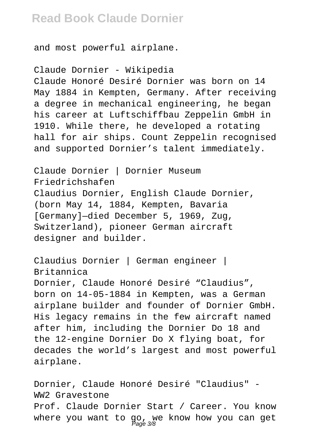and most powerful airplane.

Claude Dornier - Wikipedia Claude Honoré Desiré Dornier was born on 14 May 1884 in Kempten, Germany. After receiving a degree in mechanical engineering, he began his career at Luftschiffbau Zeppelin GmbH in 1910. While there, he developed a rotating hall for air ships. Count Zeppelin recognised and supported Dornier's talent immediately.

Claude Dornier | Dornier Museum Friedrichshafen Claudius Dornier, English Claude Dornier, (born May 14, 1884, Kempten, Bavaria [Germany]—died December 5, 1969, Zug, Switzerland), pioneer German aircraft designer and builder.

Claudius Dornier | German engineer | Britannica Dornier, Claude Honoré Desiré "Claudius", born on 14-05-1884 in Kempten, was a German airplane builder and founder of Dornier GmbH. His legacy remains in the few aircraft named after him, including the Dornier Do 18 and the 12-engine Dornier Do X flying boat, for decades the world's largest and most powerful airplane.

Dornier, Claude Honoré Desiré "Claudius" - WW2 Gravestone Prof. Claude Dornier Start / Career. You know where you want to go, we know how you can get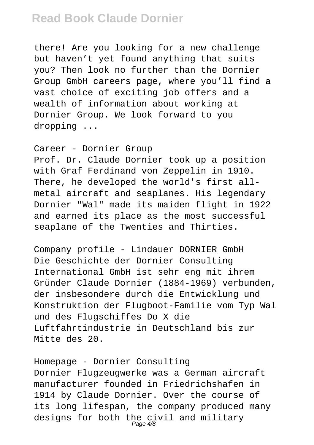there! Are you looking for a new challenge but haven't yet found anything that suits you? Then look no further than the Dornier Group GmbH careers page, where you'll find a vast choice of exciting job offers and a wealth of information about working at Dornier Group. We look forward to you dropping ...

Career - Dornier Group Prof. Dr. Claude Dornier took up a position with Graf Ferdinand von Zeppelin in 1910. There, he developed the world's first allmetal aircraft and seaplanes. His legendary Dornier "Wal" made its maiden flight in 1922 and earned its place as the most successful seaplane of the Twenties and Thirties.

Company profile - Lindauer DORNIER GmbH Die Geschichte der Dornier Consulting International GmbH ist sehr eng mit ihrem Gründer Claude Dornier (1884-1969) verbunden, der insbesondere durch die Entwicklung und Konstruktion der Flugboot-Familie vom Typ Wal und des Flugschiffes Do X die Luftfahrtindustrie in Deutschland bis zur Mitte des 20.

Homepage - Dornier Consulting Dornier Flugzeugwerke was a German aircraft manufacturer founded in Friedrichshafen in 1914 by Claude Dornier. Over the course of its long lifespan, the company produced many designs for both the civil and military<br>Page 4/8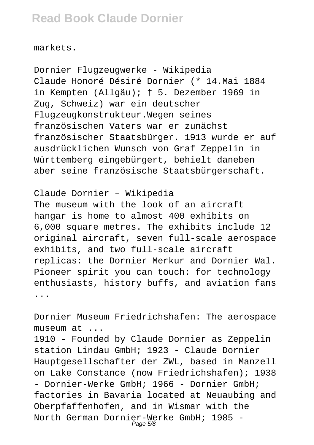markets.

Dornier Flugzeugwerke - Wikipedia Claude Honoré Désiré Dornier (\* 14.Mai 1884 in Kempten (Allgäu); † 5. Dezember 1969 in Zug, Schweiz) war ein deutscher Flugzeugkonstrukteur.Wegen seines französischen Vaters war er zunächst französischer Staatsbürger. 1913 wurde er auf ausdrücklichen Wunsch von Graf Zeppelin in Württemberg eingebürgert, behielt daneben aber seine französische Staatsbürgerschaft.

Claude Dornier – Wikipedia The museum with the look of an aircraft hangar is home to almost 400 exhibits on 6,000 square metres. The exhibits include 12 original aircraft, seven full-scale aerospace exhibits, and two full-scale aircraft replicas: the Dornier Merkur and Dornier Wal. Pioneer spirit you can touch: for technology enthusiasts, history buffs, and aviation fans ...

Dornier Museum Friedrichshafen: The aerospace museum at ...

1910 - Founded by Claude Dornier as Zeppelin station Lindau GmbH; 1923 - Claude Dornier Hauptgesellschafter der ZWL, based in Manzell on Lake Constance (now Friedrichshafen); 1938 - Dornier-Werke GmbH; 1966 - Dornier GmbH; factories in Bavaria located at Neuaubing and Oberpfaffenhofen, and in Wismar with the North German Dornier-Werke GmbH; 1985 -<br>Page 5/8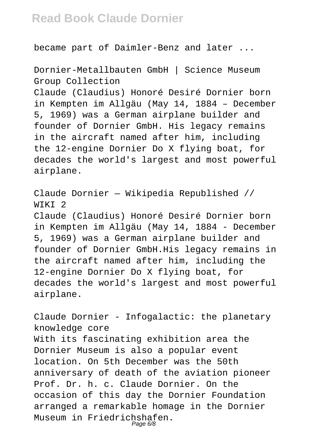became part of Daimler-Benz and later ...

Dornier-Metallbauten GmbH | Science Museum Group Collection

Claude (Claudius) Honoré Desiré Dornier born in Kempten im Allgäu (May 14, 1884 – December 5, 1969) was a German airplane builder and founder of Dornier GmbH. His legacy remains in the aircraft named after him, including the 12-engine Dornier Do X flying boat, for decades the world's largest and most powerful airplane.

Claude Dornier — Wikipedia Republished // WIKI<sub>2</sub>

Claude (Claudius) Honoré Desiré Dornier born in Kempten im Allgäu (May 14, 1884 - December 5, 1969) was a German airplane builder and founder of Dornier GmbH.His legacy remains in the aircraft named after him, including the 12-engine Dornier Do X flying boat, for decades the world's largest and most powerful airplane.

Claude Dornier - Infogalactic: the planetary knowledge core With its fascinating exhibition area the Dornier Museum is also a popular event location. On 5th December was the 50th anniversary of death of the aviation pioneer Prof. Dr. h. c. Claude Dornier. On the occasion of this day the Dornier Foundation arranged a remarkable homage in the Dornier Museum in Friedrichshafen. Page 6/8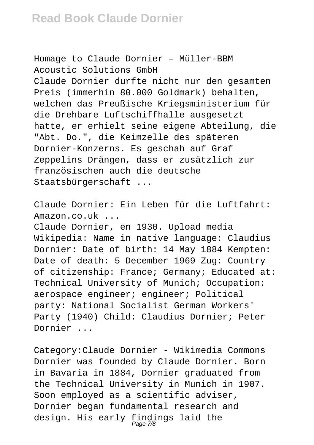Homage to Claude Dornier – Müller-BBM Acoustic Solutions GmbH Claude Dornier durfte nicht nur den gesamten Preis (immerhin 80.000 Goldmark) behalten, welchen das Preußische Kriegsministerium für die Drehbare Luftschiffhalle ausgesetzt hatte, er erhielt seine eigene Abteilung, die "Abt. Do.", die Keimzelle des späteren Dornier-Konzerns. Es geschah auf Graf Zeppelins Drängen, dass er zusätzlich zur französischen auch die deutsche Staatsbürgerschaft ...

Claude Dornier: Ein Leben für die Luftfahrt: Amazon.co.uk ... Claude Dornier, en 1930. Upload media Wikipedia: Name in native language: Claudius Dornier: Date of birth: 14 May 1884 Kempten: Date of death: 5 December 1969 Zug: Country of citizenship: France; Germany; Educated at: Technical University of Munich; Occupation: aerospace engineer; engineer; Political party: National Socialist German Workers' Party (1940) Child: Claudius Dornier; Peter Dornier ...

Category:Claude Dornier - Wikimedia Commons Dornier was founded by Claude Dornier. Born in Bavaria in 1884, Dornier graduated from the Technical University in Munich in 1907. Soon employed as a scientific adviser, Dornier began fundamental research and design. His early findings laid the<br>Page7/8